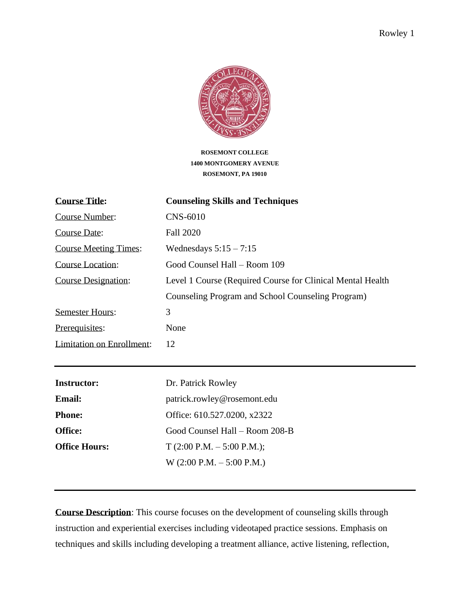

**ROSEMONT COLLEGE 1400 MONTGOMERY AVENUE ROSEMONT, PA 19010**

| <b>Course Title:</b>             | <b>Counseling Skills and Techniques</b>                     |
|----------------------------------|-------------------------------------------------------------|
| <b>Course Number:</b>            | <b>CNS-6010</b>                                             |
| Course Date:                     | <b>Fall 2020</b>                                            |
| <b>Course Meeting Times:</b>     | Wednesdays $5:15 - 7:15$                                    |
| Course Location:                 | Good Counsel Hall – Room 109                                |
| <b>Course Designation:</b>       | Level 1 Course (Required Course for Clinical Mental Health) |
|                                  | Counseling Program and School Counseling Program)           |
| <b>Semester Hours:</b>           | 3                                                           |
| Prerequisites:                   | None                                                        |
| <b>Limitation on Enrollment:</b> | 12                                                          |
|                                  |                                                             |
| Instructor:                      | Dr. Patrick Rowley                                          |

**Email:** patrick.rowley@rosemont.edu

**Phone:** Office: 610.527.0200, x2322

**Office Hours:** T (2:00 P.M. – 5:00 P.M.);

**Office:** Good Counsel Hall – Room 208-B

**Course Description**: This course focuses on the development of counseling skills through instruction and experiential exercises including videotaped practice sessions. Emphasis on techniques and skills including developing a treatment alliance, active listening, reflection,

W (2:00 P.M. – 5:00 P.M.)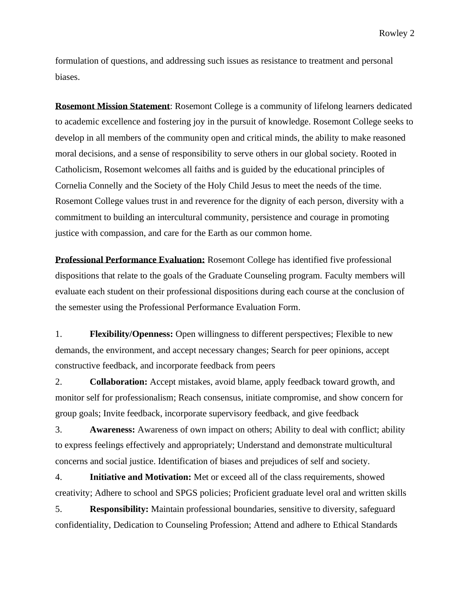Rowley 2

formulation of questions, and addressing such issues as resistance to treatment and personal biases.

**Rosemont Mission Statement**: Rosemont College is a community of lifelong learners dedicated to academic excellence and fostering joy in the pursuit of knowledge. Rosemont College seeks to develop in all members of the community open and critical minds, the ability to make reasoned moral decisions, and a sense of responsibility to serve others in our global society. Rooted in Catholicism, Rosemont welcomes all faiths and is guided by the educational principles of Cornelia Connelly and the Society of the Holy Child Jesus to meet the needs of the time. Rosemont College values trust in and reverence for the dignity of each person, diversity with a commitment to building an intercultural community, persistence and courage in promoting justice with compassion, and care for the Earth as our common home.

**Professional Performance Evaluation:** Rosemont College has identified five professional dispositions that relate to the goals of the Graduate Counseling program. Faculty members will evaluate each student on their professional dispositions during each course at the conclusion of the semester using the Professional Performance Evaluation Form.

1. **Flexibility/Openness:** Open willingness to different perspectives; Flexible to new demands, the environment, and accept necessary changes; Search for peer opinions, accept constructive feedback, and incorporate feedback from peers

2. **Collaboration:** Accept mistakes, avoid blame, apply feedback toward growth, and monitor self for professionalism; Reach consensus, initiate compromise, and show concern for group goals; Invite feedback, incorporate supervisory feedback, and give feedback

3. **Awareness:** Awareness of own impact on others; Ability to deal with conflict; ability to express feelings effectively and appropriately; Understand and demonstrate multicultural concerns and social justice. Identification of biases and prejudices of self and society.

4. **Initiative and Motivation:** Met or exceed all of the class requirements, showed creativity; Adhere to school and SPGS policies; Proficient graduate level oral and written skills

5. **Responsibility:** Maintain professional boundaries, sensitive to diversity, safeguard confidentiality, Dedication to Counseling Profession; Attend and adhere to Ethical Standards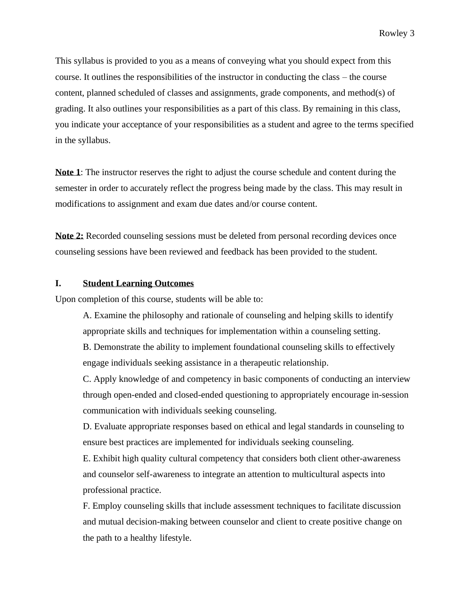This syllabus is provided to you as a means of conveying what you should expect from this course. It outlines the responsibilities of the instructor in conducting the class – the course content, planned scheduled of classes and assignments, grade components, and method(s) of grading. It also outlines your responsibilities as a part of this class. By remaining in this class, you indicate your acceptance of your responsibilities as a student and agree to the terms specified in the syllabus.

**Note 1**: The instructor reserves the right to adjust the course schedule and content during the semester in order to accurately reflect the progress being made by the class. This may result in modifications to assignment and exam due dates and/or course content.

**Note 2:** Recorded counseling sessions must be deleted from personal recording devices once counseling sessions have been reviewed and feedback has been provided to the student.

#### **I. Student Learning Outcomes**

Upon completion of this course, students will be able to:

A. Examine the philosophy and rationale of counseling and helping skills to identify appropriate skills and techniques for implementation within a counseling setting.

B. Demonstrate the ability to implement foundational counseling skills to effectively engage individuals seeking assistance in a therapeutic relationship.

C. Apply knowledge of and competency in basic components of conducting an interview through open-ended and closed-ended questioning to appropriately encourage in-session communication with individuals seeking counseling.

D. Evaluate appropriate responses based on ethical and legal standards in counseling to ensure best practices are implemented for individuals seeking counseling.

E. Exhibit high quality cultural competency that considers both client other-awareness and counselor self-awareness to integrate an attention to multicultural aspects into professional practice.

F. Employ counseling skills that include assessment techniques to facilitate discussion and mutual decision-making between counselor and client to create positive change on the path to a healthy lifestyle.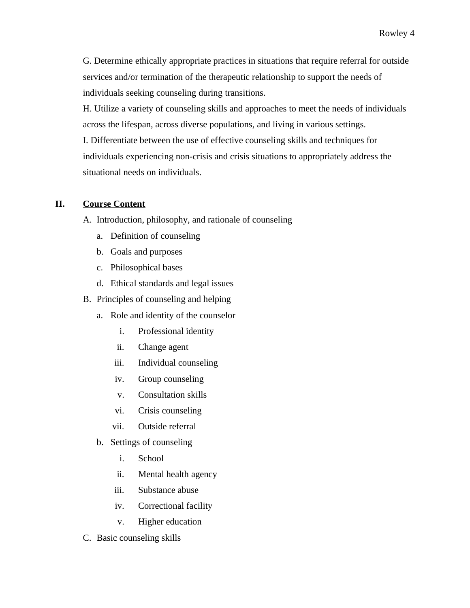G. Determine ethically appropriate practices in situations that require referral for outside services and/or termination of the therapeutic relationship to support the needs of individuals seeking counseling during transitions.

H. Utilize a variety of counseling skills and approaches to meet the needs of individuals across the lifespan, across diverse populations, and living in various settings. I. Differentiate between the use of effective counseling skills and techniques for individuals experiencing non-crisis and crisis situations to appropriately address the situational needs on individuals.

# **II. Course Content**

A. Introduction, philosophy, and rationale of counseling

- a. Definition of counseling
- b. Goals and purposes
- c. Philosophical bases
- d. Ethical standards and legal issues
- B. Principles of counseling and helping
	- a. Role and identity of the counselor
		- i. Professional identity
		- ii. Change agent
		- iii. Individual counseling
		- iv. Group counseling
		- v. Consultation skills
		- vi. Crisis counseling
		- vii. Outside referral
	- b. Settings of counseling
		- i. School
		- ii. Mental health agency
		- iii. Substance abuse
		- iv. Correctional facility
		- v. Higher education
- C. Basic counseling skills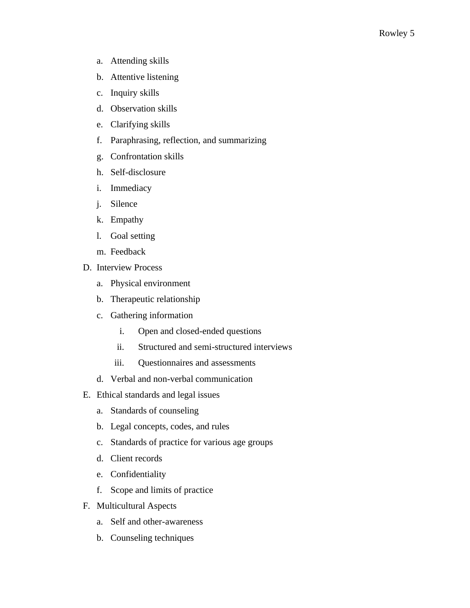- a. Attending skills
- b. Attentive listening
- c. Inquiry skills
- d. Observation skills
- e. Clarifying skills
- f. Paraphrasing, reflection, and summarizing
- g. Confrontation skills
- h. Self-disclosure
- i. Immediacy
- j. Silence
- k. Empathy
- l. Goal setting
- m. Feedback
- D. Interview Process
	- a. Physical environment
	- b. Therapeutic relationship
	- c. Gathering information
		- i. Open and closed-ended questions
		- ii. Structured and semi-structured interviews
		- iii. Questionnaires and assessments
	- d. Verbal and non-verbal communication
- E. Ethical standards and legal issues
	- a. Standards of counseling
	- b. Legal concepts, codes, and rules
	- c. Standards of practice for various age groups
	- d. Client records
	- e. Confidentiality
	- f. Scope and limits of practice
- F. Multicultural Aspects
	- a. Self and other-awareness
	- b. Counseling techniques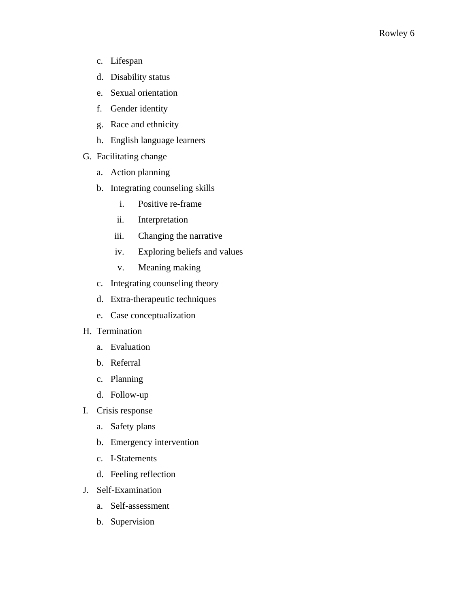- c. Lifespan
- d. Disability status
- e. Sexual orientation
- f. Gender identity
- g. Race and ethnicity
- h. English language learners
- G. Facilitating change
	- a. Action planning
	- b. Integrating counseling skills
		- i. Positive re-frame
		- ii. Interpretation
		- iii. Changing the narrative
		- iv. Exploring beliefs and values
		- v. Meaning making
	- c. Integrating counseling theory
	- d. Extra-therapeutic techniques
	- e. Case conceptualization
- H. Termination
	- a. Evaluation
	- b. Referral
	- c. Planning
	- d. Follow-up
- I. Crisis response
	- a. Safety plans
	- b. Emergency intervention
	- c. I-Statements
	- d. Feeling reflection
- J. Self-Examination
	- a. Self-assessment
	- b. Supervision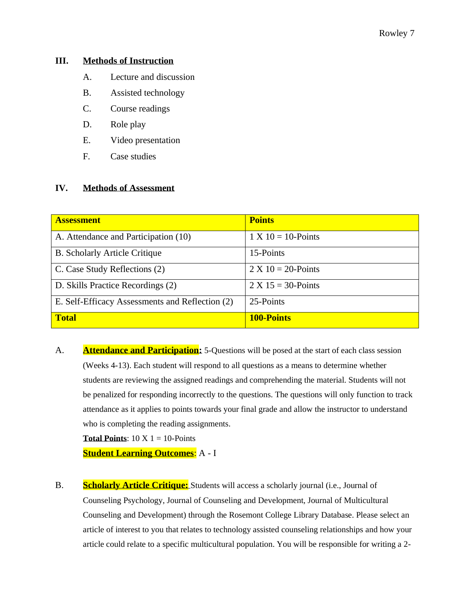## **III. Methods of Instruction**

- A. Lecture and discussion
- B. Assisted technology
- C. Course readings
- D. Role play
- E. Video presentation
- F. Case studies

## **IV. Methods of Assessment**

| <b>Assessment</b>                               | <b>Points</b>         |
|-------------------------------------------------|-----------------------|
| A. Attendance and Participation (10)            | $1 X 10 = 10$ -Points |
| <b>B.</b> Scholarly Article Critique            | 15-Points             |
| C. Case Study Reflections (2)                   | $2 X 10 = 20$ -Points |
| D. Skills Practice Recordings (2)               | $2 X 15 = 30$ -Points |
| E. Self-Efficacy Assessments and Reflection (2) | 25-Points             |
| <b>Total</b>                                    | <b>100-Points</b>     |

A. **Attendance and Participation:** 5-Questions will be posed at the start of each class session (Weeks 4-13). Each student will respond to all questions as a means to determine whether students are reviewing the assigned readings and comprehending the material. Students will not be penalized for responding incorrectly to the questions. The questions will only function to track attendance as it applies to points towards your final grade and allow the instructor to understand who is completing the reading assignments.

**Total Points**:  $10 \text{ X } 1 = 10$ -Points

**Student Learning Outcomes**: A - I

B. **Scholarly Article Critique:** Students will access a scholarly journal (i.e., Journal of Counseling Psychology, Journal of Counseling and Development, Journal of Multicultural Counseling and Development) through the Rosemont College Library Database. Please select an article of interest to you that relates to technology assisted counseling relationships and how your article could relate to a specific multicultural population. You will be responsible for writing a 2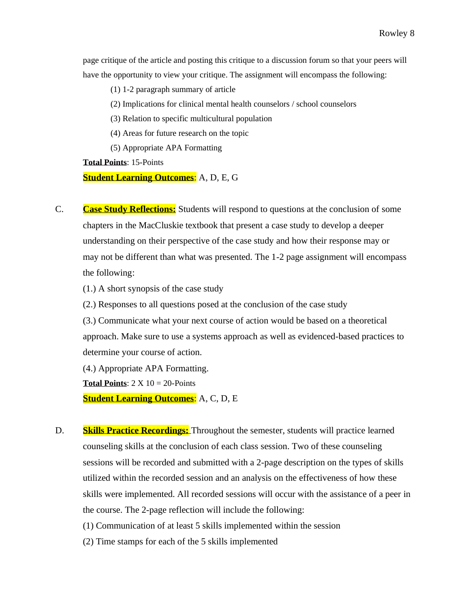page critique of the article and posting this critique to a discussion forum so that your peers will have the opportunity to view your critique. The assignment will encompass the following:

(1) 1-2 paragraph summary of article

(2) Implications for clinical mental health counselors / school counselors

(3) Relation to specific multicultural population

(4) Areas for future research on the topic

(5) Appropriate APA Formatting

**Total Points**: 15-Points

**Student Learning Outcomes**: A, D, E, G

- C. **Case Study Reflections:** Students will respond to questions at the conclusion of some chapters in the MacCluskie textbook that present a case study to develop a deeper understanding on their perspective of the case study and how their response may or may not be different than what was presented. The 1-2 page assignment will encompass the following:
	- (1.) A short synopsis of the case study

(2.) Responses to all questions posed at the conclusion of the case study

(3.) Communicate what your next course of action would be based on a theoretical approach. Make sure to use a systems approach as well as evidenced-based practices to determine your course of action.

(4.) Appropriate APA Formatting.

**Total Points:**  $2 \times 10 = 20$ -Points

**Student Learning Outcomes**: A, C, D, E

D. **Skills Practice Recordings:** Throughout the semester, students will practice learned counseling skills at the conclusion of each class session. Two of these counseling sessions will be recorded and submitted with a 2-page description on the types of skills utilized within the recorded session and an analysis on the effectiveness of how these skills were implemented. All recorded sessions will occur with the assistance of a peer in the course. The 2-page reflection will include the following:

(1) Communication of at least 5 skills implemented within the session

(2) Time stamps for each of the 5 skills implemented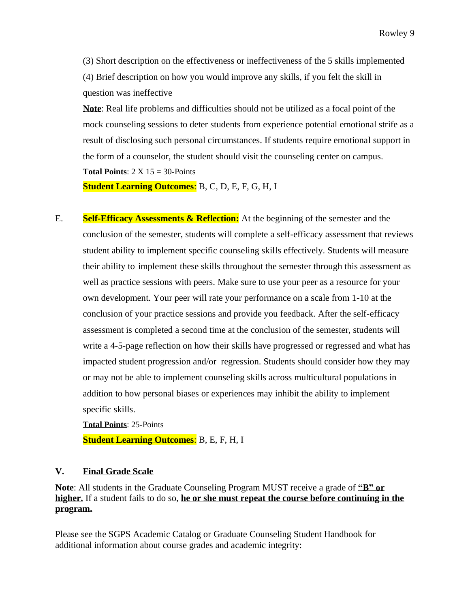(3) Short description on the effectiveness or ineffectiveness of the 5 skills implemented (4) Brief description on how you would improve any skills, if you felt the skill in question was ineffective

**Note**: Real life problems and difficulties should not be utilized as a focal point of the mock counseling sessions to deter students from experience potential emotional strife as a result of disclosing such personal circumstances. If students require emotional support in the form of a counselor, the student should visit the counseling center on campus. **Total Points**: 2 X 15 = 30-Points

**Student Learning Outcomes**: B, C, D, E, F, G, H, I

E. **Self-Efficacy Assessments & Reflection:** At the beginning of the semester and the conclusion of the semester, students will complete a self-efficacy assessment that reviews student ability to implement specific counseling skills effectively. Students will measure their ability to implement these skills throughout the semester through this assessment as well as practice sessions with peers. Make sure to use your peer as a resource for your own development. Your peer will rate your performance on a scale from 1-10 at the conclusion of your practice sessions and provide you feedback. After the self-efficacy assessment is completed a second time at the conclusion of the semester, students will write a 4-5-page reflection on how their skills have progressed or regressed and what has impacted student progression and/or regression. Students should consider how they may or may not be able to implement counseling skills across multicultural populations in addition to how personal biases or experiences may inhibit the ability to implement specific skills.

**Total Points**: 25-Points **Student Learning Outcomes**: B, E, F, H, I

# **V. Final Grade Scale**

**Note**: All students in the Graduate Counseling Program MUST receive a grade of **"B" or higher.** If a student fails to do so, **he or she must repeat the course before continuing in the program.** 

Please see the SGPS Academic Catalog or Graduate Counseling Student Handbook for additional information about course grades and academic integrity: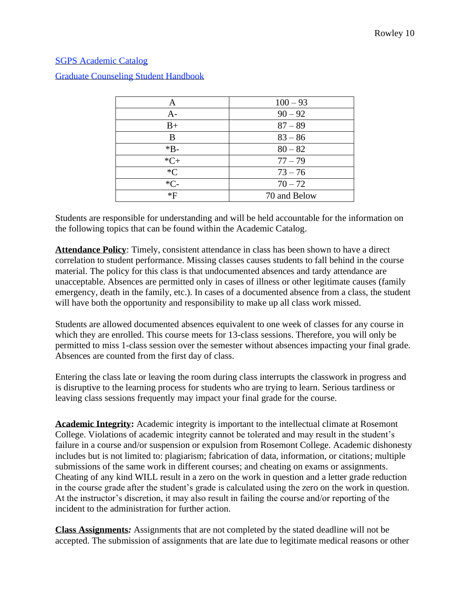## [SGPS Academic Catalog](file:///C:/Users/sara.elliott/AppData/Local/Temp/7zO0AD27C6D/2018-2019%20Academic%20Catalog.pdf)

|       | $100 - 93$   |  |
|-------|--------------|--|
| A-    | $90 - 92$    |  |
| $B+$  | $87 - 89$    |  |
| B     | $83 - 86$    |  |
| $*B-$ | $80 - 82$    |  |
| $*C+$ | $77 - 79$    |  |
| $C^*$ | $73 - 76$    |  |
| $*C-$ | $70 - 72$    |  |
| *F    | 70 and Below |  |

[Graduate Counseling Student Handbook](file:///C:/Users/sara.elliott/AppData/Local/Temp/7zO0AD27C6D/Student%20Handbook%202018-2019.docx)

Students are responsible for understanding and will be held accountable for the information on the following topics that can be found within the Academic Catalog.

**Attendance Policy**: Timely, consistent attendance in class has been shown to have a direct correlation to student performance. Missing classes causes students to fall behind in the course material. The policy for this class is that undocumented absences and tardy attendance are unacceptable. Absences are permitted only in cases of illness or other legitimate causes (family emergency, death in the family, etc.). In cases of a documented absence from a class, the student will have both the opportunity and responsibility to make up all class work missed.

Students are allowed documented absences equivalent to one week of classes for any course in which they are enrolled. This course meets for 13-class sessions. Therefore, you will only be permitted to miss 1-class session over the semester without absences impacting your final grade. Absences are counted from the first day of class.

Entering the class late or leaving the room during class interrupts the classwork in progress and is disruptive to the learning process for students who are trying to learn. Serious tardiness or leaving class sessions frequently may impact your final grade for the course.

**Academic Integrity:** Academic integrity is important to the intellectual climate at Rosemont College. Violations of academic integrity cannot be tolerated and may result in the student's failure in a course and/or suspension or expulsion from Rosemont College. Academic dishonesty includes but is not limited to: plagiarism; fabrication of data, information, or citations; multiple submissions of the same work in different courses; and cheating on exams or assignments. Cheating of any kind WILL result in a zero on the work in question and a letter grade reduction in the course grade after the student's grade is calculated using the zero on the work in question. At the instructor's discretion, it may also result in failing the course and/or reporting of the incident to the administration for further action.

**Class Assignments***:* Assignments that are not completed by the stated deadline will not be accepted. The submission of assignments that are late due to legitimate medical reasons or other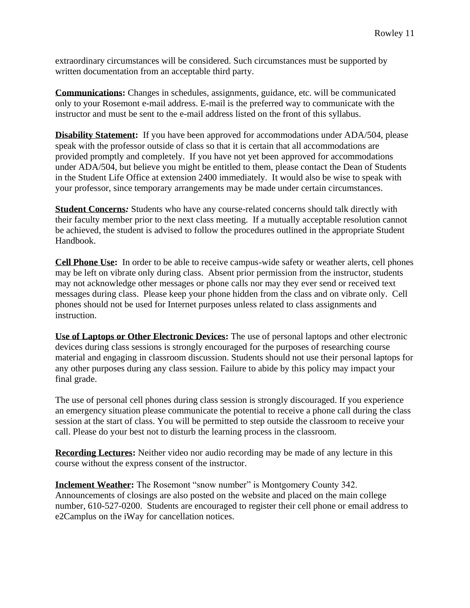extraordinary circumstances will be considered. Such circumstances must be supported by written documentation from an acceptable third party.

**Communications:** Changes in schedules, assignments, guidance, etc. will be communicated only to your Rosemont e-mail address. E-mail is the preferred way to communicate with the instructor and must be sent to the e-mail address listed on the front of this syllabus.

**Disability Statement:** If you have been approved for accommodations under ADA/504, please speak with the professor outside of class so that it is certain that all accommodations are provided promptly and completely. If you have not yet been approved for accommodations under ADA/504, but believe you might be entitled to them, please contact the Dean of Students in the Student Life Office at extension 2400 immediately. It would also be wise to speak with your professor, since temporary arrangements may be made under certain circumstances.

**Student Concerns***:* Students who have any course-related concerns should talk directly with their faculty member prior to the next class meeting. If a mutually acceptable resolution cannot be achieved, the student is advised to follow the procedures outlined in the appropriate Student Handbook.

**Cell Phone Use:** In order to be able to receive campus-wide safety or weather alerts, cell phones may be left on vibrate only during class. Absent prior permission from the instructor, students may not acknowledge other messages or phone calls nor may they ever send or received text messages during class. Please keep your phone hidden from the class and on vibrate only. Cell phones should not be used for Internet purposes unless related to class assignments and instruction.

**Use of Laptops or Other Electronic Devices:** The use of personal laptops and other electronic devices during class sessions is strongly encouraged for the purposes of researching course material and engaging in classroom discussion. Students should not use their personal laptops for any other purposes during any class session. Failure to abide by this policy may impact your final grade.

The use of personal cell phones during class session is strongly discouraged. If you experience an emergency situation please communicate the potential to receive a phone call during the class session at the start of class. You will be permitted to step outside the classroom to receive your call. Please do your best not to disturb the learning process in the classroom.

**Recording Lectures:** Neither video nor audio recording may be made of any lecture in this course without the express consent of the instructor.

**Inclement Weather:** The Rosemont "snow number" is Montgomery County 342. Announcements of closings are also posted on the website and placed on the main college number, 610-527-0200. Students are encouraged to register their cell phone or email address to e2Camplus on the iWay for cancellation notices.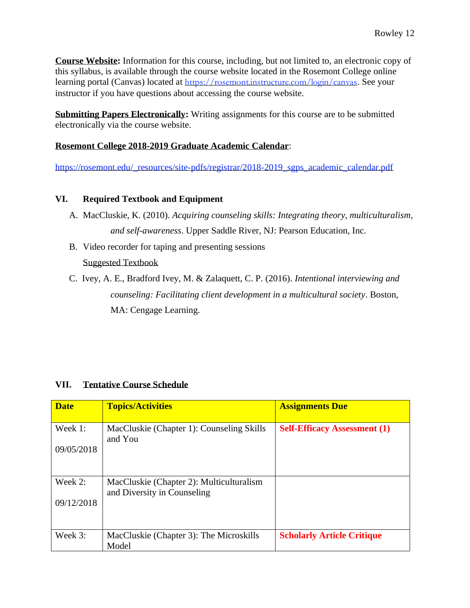**Course Website:** Information for this course, including, but not limited to, an electronic copy of this syllabus, is available through the course website located in the Rosemont College online learning portal (Canvas) located at <https://rosemont.instructure.com/login/canvas>. See your instructor if you have questions about accessing the course website.

**Submitting Papers Electronically:** Writing assignments for this course are to be submitted electronically via the course website.

# **Rosemont College 2018-2019 Graduate Academic Calendar**:

[https://rosemont.edu/\\_resources/site-pdfs/registrar/2018-2019\\_sgps\\_academic\\_calendar.pdf](https://rosemont.edu/_resources/site-pdfs/registrar/2018-2019_sgps_academic_calendar.pdf)

# **VI. Required Textbook and Equipment**

- A. MacCluskie, K. (2010). *Acquiring counseling skills: Integrating theory, multiculturalism, and self-awareness*. Upper Saddle River, NJ: Pearson Education, Inc.
- B. Video recorder for taping and presenting sessions Suggested Textbook
- C. Ivey, A. E., Bradford Ivey, M. & Zalaquett, C. P. (2016). *Intentional interviewing and counseling: Facilitating client development in a multicultural society*. Boston, MA: Cengage Learning.

## **VII. Tentative Course Schedule**

| <b>Date</b>             | <b>Topics/Activities</b>                                                | <b>Assignments Due</b>              |
|-------------------------|-------------------------------------------------------------------------|-------------------------------------|
| Week 1:<br>09/05/2018   | MacCluskie (Chapter 1): Counseling Skills<br>and You                    | <b>Self-Efficacy Assessment (1)</b> |
| Week $2:$<br>09/12/2018 | MacCluskie (Chapter 2): Multiculturalism<br>and Diversity in Counseling |                                     |
| Week 3:                 | MacCluskie (Chapter 3): The Microskills<br>Model                        | <b>Scholarly Article Critique</b>   |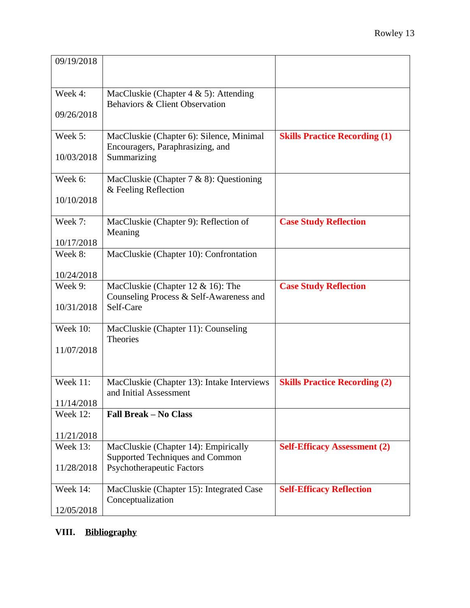| 09/19/2018            |                                                                                           |                                      |
|-----------------------|-------------------------------------------------------------------------------------------|--------------------------------------|
| Week 4:               | MacCluskie (Chapter $4 \& 5$ ): Attending<br>Behaviors & Client Observation               |                                      |
| 09/26/2018            |                                                                                           |                                      |
| Week 5:               | MacCluskie (Chapter 6): Silence, Minimal<br>Encouragers, Paraphrasizing, and              | <b>Skills Practice Recording (1)</b> |
| 10/03/2018            | Summarizing                                                                               |                                      |
| Week 6:               | MacCluskie (Chapter $7 & 8$ ): Questioning<br>& Feeling Reflection                        |                                      |
| 10/10/2018            |                                                                                           |                                      |
| Week 7:               | MacCluskie (Chapter 9): Reflection of<br>Meaning                                          | <b>Case Study Reflection</b>         |
| 10/17/2018            |                                                                                           |                                      |
| Week 8:               | MacCluskie (Chapter 10): Confrontation                                                    |                                      |
| 10/24/2018            |                                                                                           |                                      |
| Week 9:<br>10/31/2018 | MacCluskie (Chapter 12 & 16): The<br>Counseling Process & Self-Awareness and<br>Self-Care | <b>Case Study Reflection</b>         |
|                       |                                                                                           |                                      |
| Week 10:              | MacCluskie (Chapter 11): Counseling<br><b>Theories</b>                                    |                                      |
| 11/07/2018            |                                                                                           |                                      |
| <b>Week 11:</b>       | MacCluskie (Chapter 13): Intake Interviews<br>and Initial Assessment                      | <b>Skills Practice Recording (2)</b> |
| 11/14/2018            |                                                                                           |                                      |
| Week 12:              | <b>Fall Break - No Class</b>                                                              |                                      |
| 11/21/2018            |                                                                                           |                                      |
| <b>Week 13:</b>       | MacCluskie (Chapter 14): Empirically<br>Supported Techniques and Common                   | <b>Self-Efficacy Assessment (2)</b>  |
| 11/28/2018            | <b>Psychotherapeutic Factors</b>                                                          |                                      |
| Week 14:              | MacCluskie (Chapter 15): Integrated Case<br>Conceptualization                             | <b>Self-Efficacy Reflection</b>      |
| 12/05/2018            |                                                                                           |                                      |

# **VIII. Bibliography**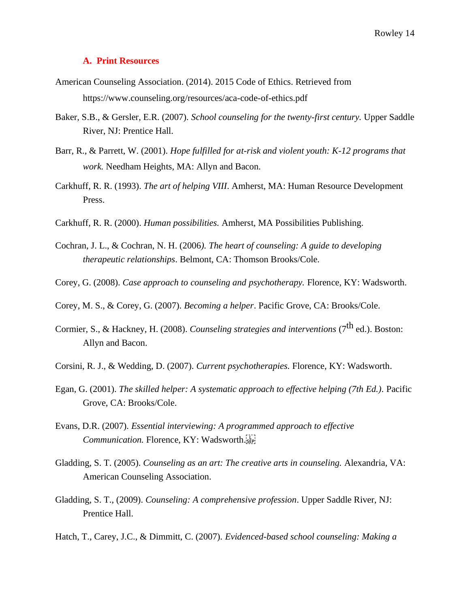#### **A. Print Resources**

- American Counseling Association. (2014). 2015 Code of Ethics. Retrieved from https://www.counseling.org/resources/aca-code-of-ethics.pdf
- Baker, S.B., & Gersler, E.R. (2007). *School counseling for the twenty-first century.* Upper Saddle River, NJ: Prentice Hall.
- Barr, R., & Parrett, W. (2001). *Hope fulfilled for at-risk and violent youth: K-12 programs that work.* Needham Heights, MA: Allyn and Bacon.
- Carkhuff, R. R. (1993). *The art of helping VIII*. Amherst, MA: Human Resource Development Press.
- Carkhuff, R. R. (2000). *Human possibilities.* Amherst, MA Possibilities Publishing.
- Cochran, J. L., & Cochran, N. H. (2006*). The heart of counseling: A guide to developing therapeutic relationships*. Belmont, CA: Thomson Brooks/Cole.
- Corey, G. (2008). *Case approach to counseling and psychotherapy.* Florence, KY: Wadsworth.
- Corey, M. S., & Corey, G. (2007). *Becoming a helper*. Pacific Grove, CA: Brooks/Cole.
- Cormier, S., & Hackney, H. (2008). *Counseling strategies and interventions* (7<sup>th</sup> ed.). Boston: Allyn and Bacon.
- Corsini, R. J., & Wedding, D. (2007). *Current psychotherapies.* Florence, KY: Wadsworth.
- Egan, G. (2001). *The skilled helper: A systematic approach to effective helping (7th Ed.).* Pacific Grove, CA: Brooks/Cole.
- Evans, D.R. (2007). *Essential interviewing: A programmed approach to effective Communication.* Florence, KY: Wadsworth.
- Gladding, S. T. (2005). *Counseling as an art: The creative arts in counseling.* Alexandria, VA: American Counseling Association.
- Gladding, S. T., (2009). *Counseling: A comprehensive profession*. Upper Saddle River, NJ: Prentice Hall.
- Hatch, T., Carey, J.C., & Dimmitt, C. (2007). *Evidenced-based school counseling: Making a*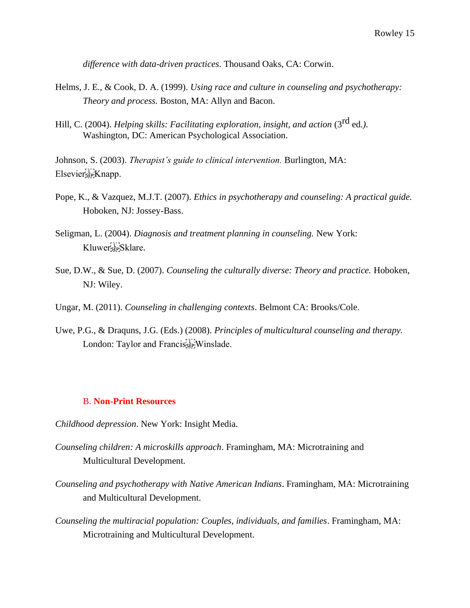*difference with data-driven practices*. Thousand Oaks, CA: Corwin.

- Helms, J. E., & Cook, D. A. (1999). *Using race and culture in counseling and psychotherapy: Theory and process.* Boston, MA: Allyn and Bacon.
- Hill, C. (2004). *Helping skills: Facilitating exploration, insight, and action* (3<sup>rd</sup> ed.). Washington, DC: American Psychological Association.

Johnson, S. (2003). *Therapist's guide to clinical intervention.* Burlington, MA: Elsevier
Knapp.

- Pope, K., & Vazquez, M.J.T. (2007). *Ethics in psychotherapy and counseling: A practical guide.*  Hoboken, NJ: Jossey-Bass.
- Seligman, L. (2004). *Diagnosis and treatment planning in counseling.* New York: Kluwer
Sklare.
- Sue, D.W., & Sue, D. (2007). *Counseling the culturally diverse: Theory and practice.* Hoboken, NJ: Wiley.
- Ungar, M. (2011). *Counseling in challenging contexts*. Belmont CA: Brooks/Cole.
- Uwe, P.G., & Draquns, J.G. (Eds.) (2008). *Principles of multicultural counseling and therapy.*  London: Taylor and Francis<sup>[17]</sup> Winslade.

#### B. **Non-Print Resources**

- *Childhood depression*. New York: Insight Media.
- *Counseling children: A microskills approach*. Framingham, MA: Microtraining and Multicultural Development.
- *Counseling and psychotherapy with Native American Indians*. Framingham, MA: Microtraining and Multicultural Development.
- *Counseling the multiracial population: Couples, individuals, and families*. Framingham, MA: Microtraining and Multicultural Development.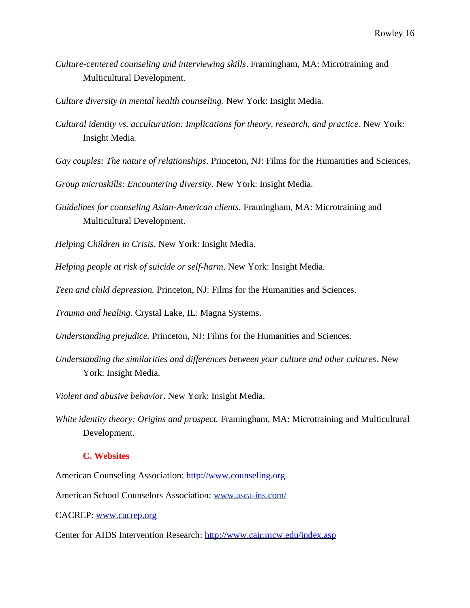*Culture-centered counseling and interviewing skills*. Framingham, MA: Microtraining and Multicultural Development.

*Culture diversity in mental health counseling*. New York: Insight Media.

*Cultural identity vs. acculturation: Implications for theory, research, and practice*. New York: Insight Media*.*

*Gay couples: The nature of relationships*. Princeton, NJ: Films for the Humanities and Sciences.

*Group microskills: Encountering diversity.* New York: Insight Media.

*Guidelines for counseling Asian-American clients.* Framingham, MA: Microtraining and Multicultural Development.

*Helping Children in Crisis*. New York: Insight Media.

*Helping people at risk of suicide or self-harm*. New York: Insight Media.

*Teen and child depression.* Princeton, NJ: Films for the Humanities and Sciences.

*Trauma and healing*. Crystal Lake, IL: Magna Systems.

*Understanding prejudice.* Princeton, NJ: Films for the Humanities and Sciences.

*Understanding the similarities and differences between your culture and other cultures*. New York: Insight Media.

*Violent and abusive behavior*. New York: Insight Media.

*White identity theory: Origins and prospect.* Framingham, MA: Microtraining and Multicultural Development.

#### **C. Websites**

American Counseling Association: http://www.counseling.org

American School Counselors Association: [www.asca-ins.com/](http://www.asca-ins.com/)

CACREP: www.cacrep.org

Center for AIDS Intervention Research: http://www.cair.mcw.edu/index.asp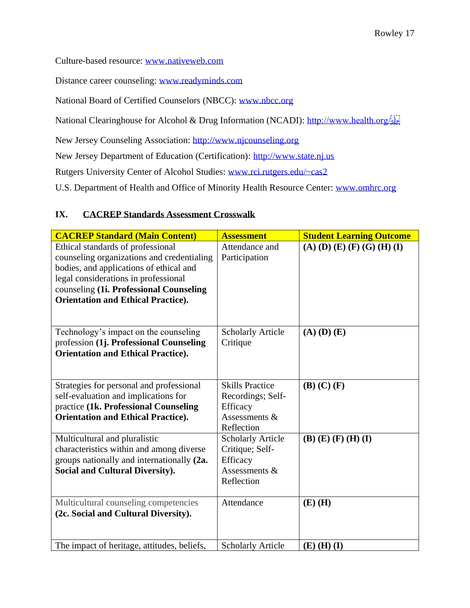Culture-based resource: www.nativeweb.com

Distance career counseling: www.readyminds.com

National Board of Certified Counselors (NBCC): www.nbcc.org

National Clearinghouse for Alcohol & Drug Information (NCADI): http://www.health.org/

New Jersey Counseling Association: http://www.njcounseling.org

New Jersey Department of Education (Certification): http://www.state.nj.us

Rutgers University Center of Alcohol Studies: www.rci.rutgers.edu/~cas2

U.S. Department of Health and Office of Minority Health Resource Center: www.omhrc.org

# **IX. CACREP Standards Assessment Crosswalk**

| <b>CACREP Standard (Main Content)</b>                                                                                                                                                                                                                      | <b>Assessment</b>                                                                      | <b>Student Learning Outcome</b> |
|------------------------------------------------------------------------------------------------------------------------------------------------------------------------------------------------------------------------------------------------------------|----------------------------------------------------------------------------------------|---------------------------------|
| Ethical standards of professional<br>counseling organizations and credentialing<br>bodies, and applications of ethical and<br>legal considerations in professional<br>counseling (1i. Professional Counseling<br><b>Orientation and Ethical Practice).</b> | Attendance and<br>Participation                                                        | $(A)$ (D) (E) (F) (G) (H) (I)   |
| Technology's impact on the counseling<br>profession (1j. Professional Counseling<br><b>Orientation and Ethical Practice).</b>                                                                                                                              | <b>Scholarly Article</b><br>Critique                                                   | $(A)$ $(D)$ $(E)$               |
| Strategies for personal and professional<br>self-evaluation and implications for<br>practice (1k. Professional Counseling<br><b>Orientation and Ethical Practice).</b>                                                                                     | <b>Skills Practice</b><br>Recordings; Self-<br>Efficacy<br>Assessments &<br>Reflection | $(B)$ $(C)$ $(F)$               |
| Multicultural and pluralistic<br>characteristics within and among diverse<br>groups nationally and internationally (2a.<br><b>Social and Cultural Diversity).</b>                                                                                          | <b>Scholarly Article</b><br>Critique; Self-<br>Efficacy<br>Assessments &<br>Reflection | $(B)$ (E) $(F)$ (H) (I)         |
| Multicultural counseling competencies<br>(2c. Social and Cultural Diversity).                                                                                                                                                                              | Attendance                                                                             | $(E)$ (H)                       |
| The impact of heritage, attitudes, beliefs,                                                                                                                                                                                                                | <b>Scholarly Article</b>                                                               | $(E)$ (H) (I)                   |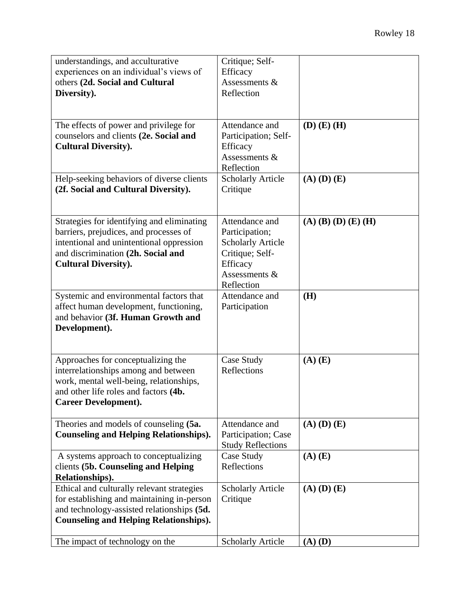| understandings, and acculturative<br>experiences on an individual's views of<br>others (2d. Social and Cultural<br>Diversity).                                                                        | Critique; Self-<br>Efficacy<br>Assessments &<br>Reflection                                                                 |                       |
|-------------------------------------------------------------------------------------------------------------------------------------------------------------------------------------------------------|----------------------------------------------------------------------------------------------------------------------------|-----------------------|
| The effects of power and privilege for<br>counselors and clients (2e. Social and<br><b>Cultural Diversity).</b>                                                                                       | Attendance and<br>Participation; Self-<br>Efficacy<br>Assessments &<br>Reflection                                          | $(D)$ $(E)$ $(H)$     |
| Help-seeking behaviors of diverse clients<br>(2f. Social and Cultural Diversity).                                                                                                                     | <b>Scholarly Article</b><br>Critique                                                                                       | $(A)$ $(D)$ $(E)$     |
| Strategies for identifying and eliminating<br>barriers, prejudices, and processes of<br>intentional and unintentional oppression<br>and discrimination (2h. Social and<br><b>Cultural Diversity).</b> | Attendance and<br>Participation;<br><b>Scholarly Article</b><br>Critique; Self-<br>Efficacy<br>Assessments &<br>Reflection | $(A)$ (B) (D) (E) (H) |
| Systemic and environmental factors that<br>affect human development, functioning,<br>and behavior (3f. Human Growth and<br>Development).                                                              | Attendance and<br>Participation                                                                                            | (H)                   |
| Approaches for conceptualizing the<br>interrelationships among and between<br>work, mental well-being, relationships,<br>and other life roles and factors (4b.<br><b>Career Development).</b>         | Case Study<br>Reflections                                                                                                  | $(A)$ $(E)$           |
| Theories and models of counseling (5a.<br><b>Counseling and Helping Relationships).</b>                                                                                                               | Attendance and<br>Participation; Case<br><b>Study Reflections</b>                                                          | $(A)$ $(D)$ $(E)$     |
| A systems approach to conceptualizing<br>clients (5b. Counseling and Helping<br>Relationships).                                                                                                       | Case Study<br>Reflections                                                                                                  | $(A)$ $(E)$           |
| Ethical and culturally relevant strategies<br>for establishing and maintaining in-person<br>and technology-assisted relationships (5d.<br><b>Counseling and Helping Relationships).</b>               | <b>Scholarly Article</b><br>Critique                                                                                       | $(A)$ $(D)$ $(E)$     |
| The impact of technology on the                                                                                                                                                                       | <b>Scholarly Article</b>                                                                                                   | $(A)$ $(D)$           |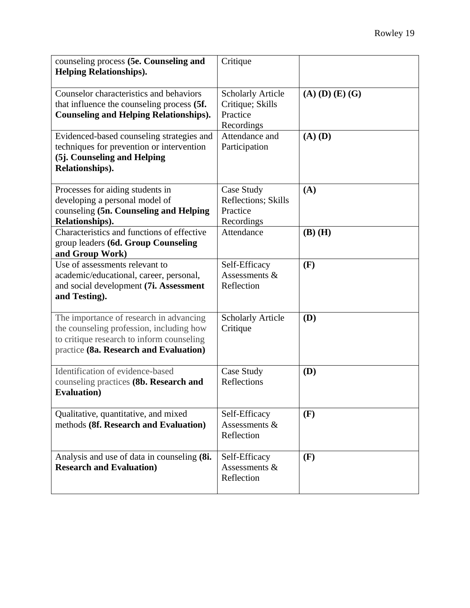| counseling process (5e. Counseling and<br><b>Helping Relationships).</b>                                                                                                   | Critique                                                               |                         |
|----------------------------------------------------------------------------------------------------------------------------------------------------------------------------|------------------------------------------------------------------------|-------------------------|
| Counselor characteristics and behaviors<br>that influence the counseling process (5f.<br><b>Counseling and Helping Relationships).</b>                                     | <b>Scholarly Article</b><br>Critique; Skills<br>Practice<br>Recordings | $(A)$ $(D)$ $(E)$ $(G)$ |
| Evidenced-based counseling strategies and<br>techniques for prevention or intervention<br>(5j. Counseling and Helping<br>Relationships).                                   | Attendance and<br>Participation                                        | $(A)$ $(D)$             |
| Processes for aiding students in<br>developing a personal model of<br>counseling (5n. Counseling and Helping<br>Relationships).                                            | Case Study<br>Reflections; Skills<br>Practice<br>Recordings            | (A)                     |
| Characteristics and functions of effective<br>group leaders (6d. Group Counseling<br>and Group Work)                                                                       | Attendance                                                             | $(B)$ $(H)$             |
| Use of assessments relevant to<br>academic/educational, career, personal,<br>and social development (7i. Assessment<br>and Testing).                                       | Self-Efficacy<br>Assessments $&$<br>Reflection                         | (F)                     |
| The importance of research in advancing<br>the counseling profession, including how<br>to critique research to inform counseling<br>practice (8a. Research and Evaluation) | <b>Scholarly Article</b><br>Critique                                   | (D)                     |
| Identification of evidence-based<br>counseling practices (8b. Research and<br><b>Evaluation</b> )                                                                          | Case Study<br>Reflections                                              | <b>(D)</b>              |
| Qualitative, quantitative, and mixed<br>methods (8f. Research and Evaluation)                                                                                              | Self-Efficacy<br>Assessments &<br>Reflection                           | (F)                     |
| Analysis and use of data in counseling (8i.<br><b>Research and Evaluation)</b>                                                                                             | Self-Efficacy<br>Assessments &<br>Reflection                           | (F)                     |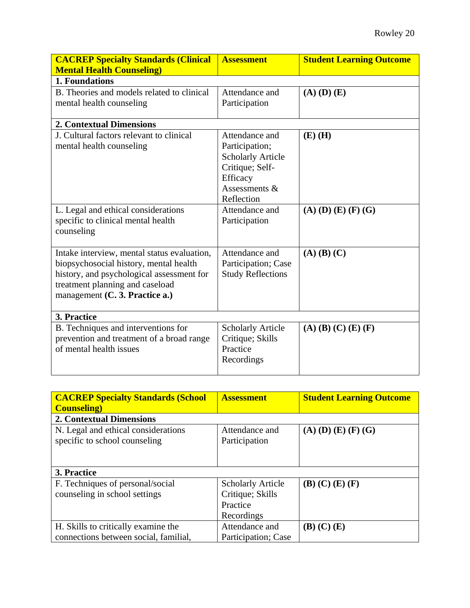| <b>CACREP Specialty Standards (Clinical</b><br><b>Mental Health Counseling)</b>                                                                                                                         | <b>Assessment</b>                                                                                                            | <b>Student Learning Outcome</b> |
|---------------------------------------------------------------------------------------------------------------------------------------------------------------------------------------------------------|------------------------------------------------------------------------------------------------------------------------------|---------------------------------|
| 1. Foundations                                                                                                                                                                                          |                                                                                                                              |                                 |
| B. Theories and models related to clinical<br>mental health counseling                                                                                                                                  | Attendance and<br>Participation                                                                                              | $(A)$ $(D)$ $(E)$               |
| <b>2. Contextual Dimensions</b>                                                                                                                                                                         |                                                                                                                              |                                 |
| J. Cultural factors relevant to clinical<br>mental health counseling                                                                                                                                    | Attendance and<br>Participation;<br><b>Scholarly Article</b><br>Critique; Self-<br>Efficacy<br>Assessments $&$<br>Reflection | $(E)$ (H)                       |
| L. Legal and ethical considerations<br>specific to clinical mental health<br>counseling                                                                                                                 | Attendance and<br>Participation                                                                                              | $(A)$ (D) (E) (F) (G)           |
| Intake interview, mental status evaluation,<br>biopsychosocial history, mental health<br>history, and psychological assessment for<br>treatment planning and caseload<br>management (C. 3. Practice a.) | Attendance and<br>Participation; Case<br><b>Study Reflections</b>                                                            | $(A)$ $(B)$ $(C)$               |
| 3. Practice                                                                                                                                                                                             |                                                                                                                              |                                 |
| B. Techniques and interventions for<br>prevention and treatment of a broad range<br>of mental health issues                                                                                             | <b>Scholarly Article</b><br>Critique; Skills<br>Practice<br>Recordings                                                       | $(A)$ (B) (C) (E) (F)           |

| <b>CACREP Specialty Standards (School)</b>                           | <b>Assessment</b>                                                      | <b>Student Learning Outcome</b> |
|----------------------------------------------------------------------|------------------------------------------------------------------------|---------------------------------|
| <b>Counseling</b> )                                                  |                                                                        |                                 |
| <b>2. Contextual Dimensions</b>                                      |                                                                        |                                 |
| N. Legal and ethical considerations<br>specific to school counseling | Attendance and<br>Participation                                        | $(A)$ (D) (E) (F) (G)           |
| 3. Practice                                                          |                                                                        |                                 |
| F. Techniques of personal/social<br>counseling in school settings    | <b>Scholarly Article</b><br>Critique; Skills<br>Practice<br>Recordings | (B) (C) (E) (F)                 |
| H. Skills to critically examine the                                  | Attendance and                                                         | $(B)$ $(C)$ $(E)$               |
| connections between social, familial,                                | Participation; Case                                                    |                                 |